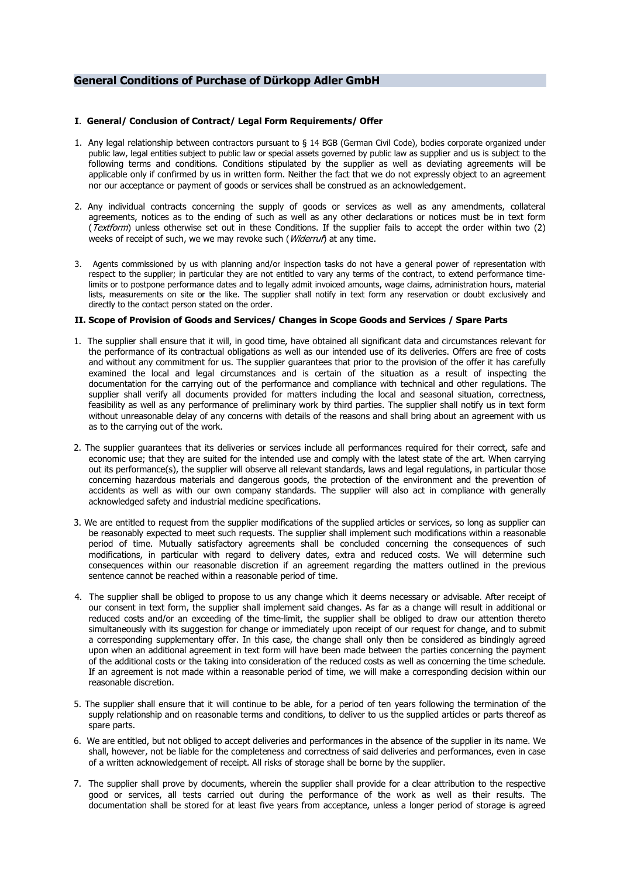# **General Conditions of Purchase of Dürkopp Adler GmbH**

## **I**. **General/ Conclusion of Contract/ Legal Form Requirements/ Offer**

- 1. Any legal relationship between contractors pursuant to § 14 BGB (German Civil Code), bodies corporate organized under public law, legal entities subject to public law or special assets governed by public law as supplier and us is subject to the following terms and conditions. Conditions stipulated by the supplier as well as deviating agreements will be applicable only if confirmed by us in written form. Neither the fact that we do not expressly object to an agreement nor our acceptance or payment of goods or services shall be construed as an acknowledgement.
- 2. Any individual contracts concerning the supply of goods or services as well as any amendments, collateral agreements, notices as to the ending of such as well as any other declarations or notices must be in text form (Textform) unless otherwise set out in these Conditions. If the supplier fails to accept the order within two (2) weeks of receipt of such, we we may revoke such (*Widerruf*) at any time.
- 3. Agents commissioned by us with planning and/or inspection tasks do not have a general power of representation with respect to the supplier; in particular they are not entitled to vary any terms of the contract, to extend performance timelimits or to postpone performance dates and to legally admit invoiced amounts, wage claims, administration hours, material lists, measurements on site or the like. The supplier shall notify in text form any reservation or doubt exclusively and directly to the contact person stated on the order.

# **II. Scope of Provision of Goods and Services/ Changes in Scope Goods and Services / Spare Parts**

- 1. The supplier shall ensure that it will, in good time, have obtained all significant data and circumstances relevant for the performance of its contractual obligations as well as our intended use of its deliveries. Offers are free of costs and without any commitment for us. The supplier guarantees that prior to the provision of the offer it has carefully examined the local and legal circumstances and is certain of the situation as a result of inspecting the documentation for the carrying out of the performance and compliance with technical and other regulations. The supplier shall verify all documents provided for matters including the local and seasonal situation, correctness, feasibility as well as any performance of preliminary work by third parties. The supplier shall notify us in text form without unreasonable delay of any concerns with details of the reasons and shall bring about an agreement with us as to the carrying out of the work.
- 2. The supplier guarantees that its deliveries or services include all performances required for their correct, safe and economic use; that they are suited for the intended use and comply with the latest state of the art. When carrying out its performance(s), the supplier will observe all relevant standards, laws and legal regulations, in particular those concerning hazardous materials and dangerous goods, the protection of the environment and the prevention of accidents as well as with our own company standards. The supplier will also act in compliance with generally acknowledged safety and industrial medicine specifications.
- 3. We are entitled to request from the supplier modifications of the supplied articles or services, so long as supplier can be reasonably expected to meet such requests. The supplier shall implement such modifications within a reasonable period of time. Mutually satisfactory agreements shall be concluded concerning the consequences of such modifications, in particular with regard to delivery dates, extra and reduced costs. We will determine such consequences within our reasonable discretion if an agreement regarding the matters outlined in the previous sentence cannot be reached within a reasonable period of time.
- 4. The supplier shall be obliged to propose to us any change which it deems necessary or advisable. After receipt of our consent in text form, the supplier shall implement said changes. As far as a change will result in additional or reduced costs and/or an exceeding of the time-limit, the supplier shall be obliged to draw our attention thereto simultaneously with its suggestion for change or immediately upon receipt of our request for change, and to submit a corresponding supplementary offer. In this case, the change shall only then be considered as bindingly agreed upon when an additional agreement in text form will have been made between the parties concerning the payment of the additional costs or the taking into consideration of the reduced costs as well as concerning the time schedule. If an agreement is not made within a reasonable period of time, we will make a corresponding decision within our reasonable discretion.
- 5. The supplier shall ensure that it will continue to be able, for a period of ten years following the termination of the supply relationship and on reasonable terms and conditions, to deliver to us the supplied articles or parts thereof as spare parts.
- 6. We are entitled, but not obliged to accept deliveries and performances in the absence of the supplier in its name. We shall, however, not be liable for the completeness and correctness of said deliveries and performances, even in case of a written acknowledgement of receipt. All risks of storage shall be borne by the supplier.
- 7. The supplier shall prove by documents, wherein the supplier shall provide for a clear attribution to the respective good or services, all tests carried out during the performance of the work as well as their results. The documentation shall be stored for at least five years from acceptance, unless a longer period of storage is agreed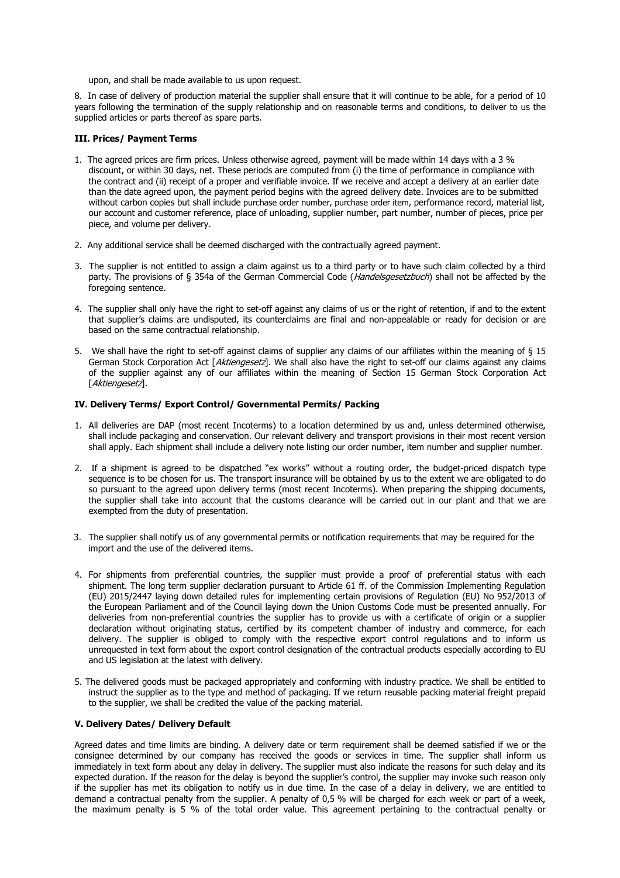upon, and shall be made available to us upon request.

8. In case of delivery of production material the supplier shall ensure that it will continue to be able, for a period of 10 years following the termination of the supply relationship and on reasonable terms and conditions, to deliver to us the supplied articles or parts thereof as spare parts.

### **III. Prices/ Payment Terms**

- 1. The agreed prices are firm prices. Unless otherwise agreed, payment will be made within 14 days with a 3 % discount, or within 30 days, net. These periods are computed from (i) the time of performance in compliance with the contract and (ii) receipt of a proper and verifiable invoice. If we receive and accept a delivery at an earlier date than the date agreed upon, the payment period begins with the agreed delivery date. Invoices are to be submitted without carbon copies but shall include purchase order number, purchase order item, performance record, material list, our account and customer reference, place of unloading, supplier number, part number, number of pieces, price per piece, and volume per delivery.
- 2. Any additional service shall be deemed discharged with the contractually agreed payment.
- 3. The supplier is not entitled to assign a claim against us to a third party or to have such claim collected by a third party. The provisions of § 354a of the German Commercial Code (Handelsgesetzbuch) shall not be affected by the foregoing sentence.
- 4. The supplier shall only have the right to set-off against any claims of us or the right of retention, if and to the extent that supplier's claims are undisputed, its counterclaims are final and non-appealable or ready for decision or are based on the same contractual relationship.
- 5. We shall have the right to set-off against claims of supplier any claims of our affiliates within the meaning of § 15 German Stock Corporation Act [Aktiengesetz]. We shall also have the right to set-off our claims against any claims of the supplier against any of our affiliates within the meaning of Section 15 German Stock Corporation Act [Aktiengesetz].

# **IV. Delivery Terms/ Export Control/ Governmental Permits/ Packing**

- 1. All deliveries are DAP (most recent Incoterms) to a location determined by us and, unless determined otherwise, shall include packaging and conservation. Our relevant delivery and transport provisions in their most recent version shall apply. Each shipment shall include a delivery note listing our order number, item number and supplier number.
- 2. If a shipment is agreed to be dispatched "ex works" without a routing order, the budget-priced dispatch type sequence is to be chosen for us. The transport insurance will be obtained by us to the extent we are obligated to do so pursuant to the agreed upon delivery terms (most recent Incoterms). When preparing the shipping documents, the supplier shall take into account that the customs clearance will be carried out in our plant and that we are exempted from the duty of presentation.
- 3. The supplier shall notify us of any governmental permits or notification requirements that may be required for the import and the use of the delivered items.
- 4. For shipments from preferential countries, the supplier must provide a proof of preferential status with each shipment. The long term supplier declaration pursuant to Article 61 ff. of the Commission Implementing Regulation (EU) 2015/2447 laying down detailed rules for implementing certain provisions of Regulation (EU) No 952/2013 of the European Parliament and of the Council laying down the Union Customs Code must be presented annually. For deliveries from non-preferential countries the supplier has to provide us with a certificate of origin or a supplier declaration without originating status, certified by its competent chamber of industry and commerce, for each delivery. The supplier is obliged to comply with the respective export control regulations and to inform us unrequested in text form about the export control designation of the contractual products especially according to EU and US legislation at the latest with delivery.
- 5. The delivered goods must be packaged appropriately and conforming with industry practice. We shall be entitled to instruct the supplier as to the type and method of packaging. If we return reusable packing material freight prepaid to the supplier, we shall be credited the value of the packing material.

# **V. Delivery Dates/ Delivery Default**

Agreed dates and time limits are binding. A delivery date or term requirement shall be deemed satisfied if we or the consignee determined by our company has received the goods or services in time. The supplier shall inform us immediately in text form about any delay in delivery. The supplier must also indicate the reasons for such delay and its expected duration. If the reason for the delay is beyond the supplier's control, the supplier may invoke such reason only if the supplier has met its obligation to notify us in due time. In the case of a delay in delivery, we are entitled to demand a contractual penalty from the supplier. A penalty of 0,5 % will be charged for each week or part of a week, the maximum penalty is 5 % of the total order value. This agreement pertaining to the contractual penalty or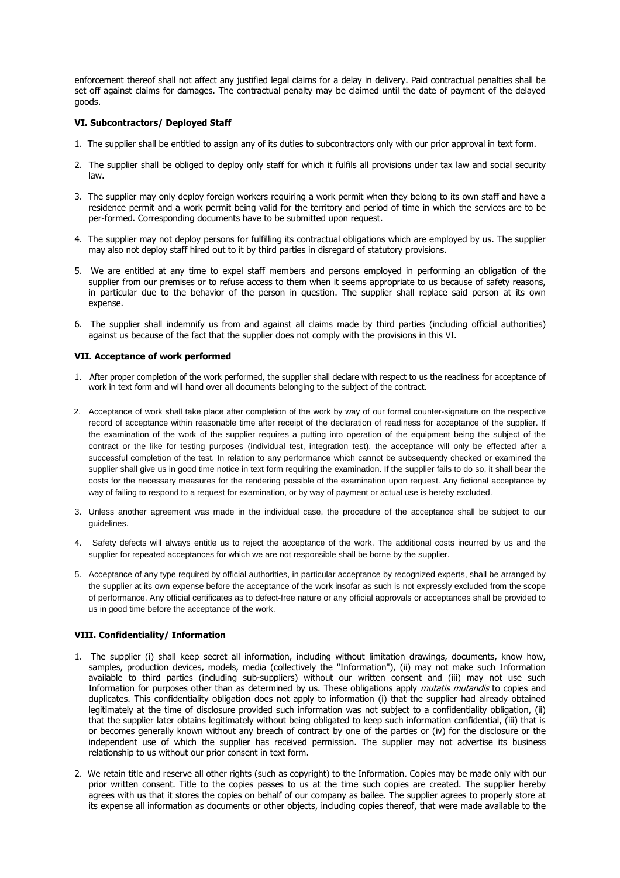enforcement thereof shall not affect any justified legal claims for a delay in delivery. Paid contractual penalties shall be set off against claims for damages. The contractual penalty may be claimed until the date of payment of the delayed goods.

## **VI. Subcontractors/ Deployed Staff**

- 1. The supplier shall be entitled to assign any of its duties to subcontractors only with our prior approval in text form.
- 2. The supplier shall be obliged to deploy only staff for which it fulfils all provisions under tax law and social security law.
- 3. The supplier may only deploy foreign workers requiring a work permit when they belong to its own staff and have a residence permit and a work permit being valid for the territory and period of time in which the services are to be per-formed. Corresponding documents have to be submitted upon request.
- 4. The supplier may not deploy persons for fulfilling its contractual obligations which are employed by us. The supplier may also not deploy staff hired out to it by third parties in disregard of statutory provisions.
- 5. We are entitled at any time to expel staff members and persons employed in performing an obligation of the supplier from our premises or to refuse access to them when it seems appropriate to us because of safety reasons, in particular due to the behavior of the person in question. The supplier shall replace said person at its own expense.
- 6. The supplier shall indemnify us from and against all claims made by third parties (including official authorities) against us because of the fact that the supplier does not comply with the provisions in this VI.

#### **VII. Acceptance of work performed**

- 1. After proper completion of the work performed, the supplier shall declare with respect to us the readiness for acceptance of work in text form and will hand over all documents belonging to the subject of the contract.
- 2. Acceptance of work shall take place after completion of the work by way of our formal counter-signature on the respective record of acceptance within reasonable time after receipt of the declaration of readiness for acceptance of the supplier. If the examination of the work of the supplier requires a putting into operation of the equipment being the subject of the contract or the like for testing purposes (individual test, integration test), the acceptance will only be effected after a successful completion of the test. In relation to any performance which cannot be subsequently checked or examined the supplier shall give us in good time notice in text form requiring the examination. If the supplier fails to do so, it shall bear the costs for the necessary measures for the rendering possible of the examination upon request. Any fictional acceptance by way of failing to respond to a request for examination, or by way of payment or actual use is hereby excluded.
- 3. Unless another agreement was made in the individual case, the procedure of the acceptance shall be subject to our guidelines.
- 4. Safety defects will always entitle us to reject the acceptance of the work. The additional costs incurred by us and the supplier for repeated acceptances for which we are not responsible shall be borne by the supplier.
- 5. Acceptance of any type required by official authorities, in particular acceptance by recognized experts, shall be arranged by the supplier at its own expense before the acceptance of the work insofar as such is not expressly excluded from the scope of performance. Any official certificates as to defect-free nature or any official approvals or acceptances shall be provided to us in good time before the acceptance of the work.

# **VIII. Confidentiality/ Information**

- 1. The supplier (i) shall keep secret all information, including without limitation drawings, documents, know how, samples, production devices, models, media (collectively the "Information"), (ii) may not make such Information available to third parties (including sub-suppliers) without our written consent and (iii) may not use such Information for purposes other than as determined by us. These obligations apply mutatis mutandis to copies and duplicates. This confidentiality obligation does not apply to information (i) that the supplier had already obtained legitimately at the time of disclosure provided such information was not subject to a confidentiality obligation, (ii) that the supplier later obtains legitimately without being obligated to keep such information confidential, (iii) that is or becomes generally known without any breach of contract by one of the parties or (iv) for the disclosure or the independent use of which the supplier has received permission. The supplier may not advertise its business relationship to us without our prior consent in text form.
- 2. We retain title and reserve all other rights (such as copyright) to the Information. Copies may be made only with our prior written consent. Title to the copies passes to us at the time such copies are created. The supplier hereby agrees with us that it stores the copies on behalf of our company as bailee. The supplier agrees to properly store at its expense all information as documents or other objects, including copies thereof, that were made available to the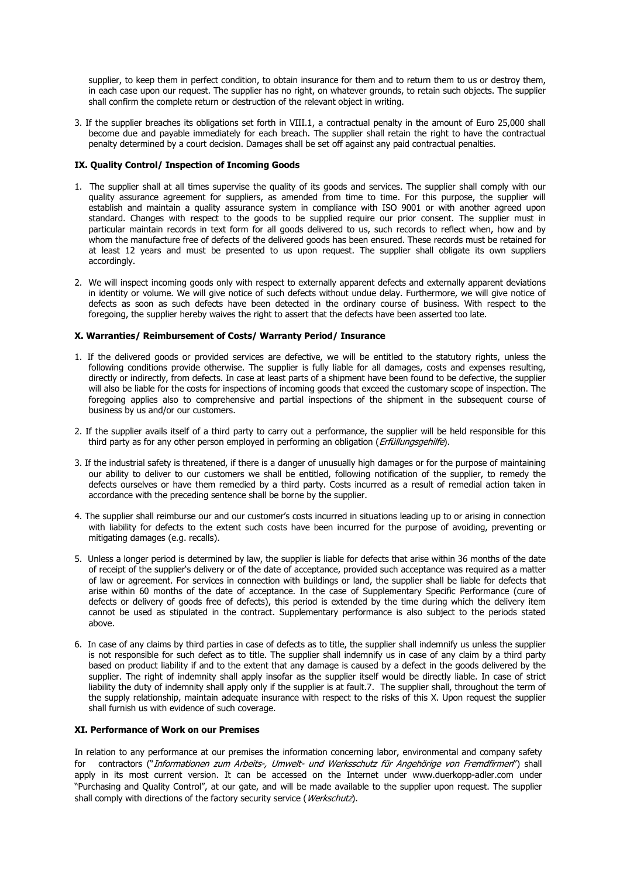supplier, to keep them in perfect condition, to obtain insurance for them and to return them to us or destroy them, in each case upon our request. The supplier has no right, on whatever grounds, to retain such objects. The supplier shall confirm the complete return or destruction of the relevant object in writing.

3. If the supplier breaches its obligations set forth in VIII.1, a contractual penalty in the amount of Euro 25,000 shall become due and payable immediately for each breach. The supplier shall retain the right to have the contractual penalty determined by a court decision. Damages shall be set off against any paid contractual penalties.

# **IX. Quality Control/ Inspection of Incoming Goods**

- 1. The supplier shall at all times supervise the quality of its goods and services. The supplier shall comply with our quality assurance agreement for suppliers, as amended from time to time. For this purpose, the supplier will establish and maintain a quality assurance system in compliance with ISO 9001 or with another agreed upon standard. Changes with respect to the goods to be supplied require our prior consent. The supplier must in particular maintain records in text form for all goods delivered to us, such records to reflect when, how and by whom the manufacture free of defects of the delivered goods has been ensured. These records must be retained for at least 12 years and must be presented to us upon request. The supplier shall obligate its own suppliers accordingly.
- 2. We will inspect incoming goods only with respect to externally apparent defects and externally apparent deviations in identity or volume. We will give notice of such defects without undue delay. Furthermore, we will give notice of defects as soon as such defects have been detected in the ordinary course of business. With respect to the foregoing, the supplier hereby waives the right to assert that the defects have been asserted too late.

# **X. Warranties/ Reimbursement of Costs/ Warranty Period/ Insurance**

- 1. If the delivered goods or provided services are defective, we will be entitled to the statutory rights, unless the following conditions provide otherwise. The supplier is fully liable for all damages, costs and expenses resulting, directly or indirectly, from defects. In case at least parts of a shipment have been found to be defective, the supplier will also be liable for the costs for inspections of incoming goods that exceed the customary scope of inspection. The foregoing applies also to comprehensive and partial inspections of the shipment in the subsequent course of business by us and/or our customers.
- 2. If the supplier avails itself of a third party to carry out a performance, the supplier will be held responsible for this third party as for any other person employed in performing an obligation (*Erfüllungsgehilfe*).
- 3. If the industrial safety is threatened, if there is a danger of unusually high damages or for the purpose of maintaining our ability to deliver to our customers we shall be entitled, following notification of the supplier, to remedy the defects ourselves or have them remedied by a third party. Costs incurred as a result of remedial action taken in accordance with the preceding sentence shall be borne by the supplier.
- 4. The supplier shall reimburse our and our customer's costs incurred in situations leading up to or arising in connection with liability for defects to the extent such costs have been incurred for the purpose of avoiding, preventing or mitigating damages (e.g. recalls).
- 5. Unless a longer period is determined by law, the supplier is liable for defects that arise within 36 months of the date of receipt of the supplier's delivery or of the date of acceptance, provided such acceptance was required as a matter of law or agreement. For services in connection with buildings or land, the supplier shall be liable for defects that arise within 60 months of the date of acceptance. In the case of Supplementary Specific Performance (cure of defects or delivery of goods free of defects), this period is extended by the time during which the delivery item cannot be used as stipulated in the contract. Supplementary performance is also subject to the periods stated above.
- 6. In case of any claims by third parties in case of defects as to title, the supplier shall indemnify us unless the supplier is not responsible for such defect as to title. The supplier shall indemnify us in case of any claim by a third party based on product liability if and to the extent that any damage is caused by a defect in the goods delivered by the supplier. The right of indemnity shall apply insofar as the supplier itself would be directly liable. In case of strict liability the duty of indemnity shall apply only if the supplier is at fault.7. The supplier shall, throughout the term of the supply relationship, maintain adequate insurance with respect to the risks of this X. Upon request the supplier shall furnish us with evidence of such coverage.

# **XI. Performance of Work on our Premises**

In relation to any performance at our premises the information concerning labor, environmental and company safety for contractors ("Informationen zum Arbeits-, Umwelt- und Werksschutz für Angehörige von Fremdfirmen") shall apply in its most current version. It can be accessed on the Internet under www.duerkopp-adler.com under "Purchasing and Quality Control", at our gate, and will be made available to the supplier upon request. The supplier shall comply with directions of the factory security service (*Werkschutz*).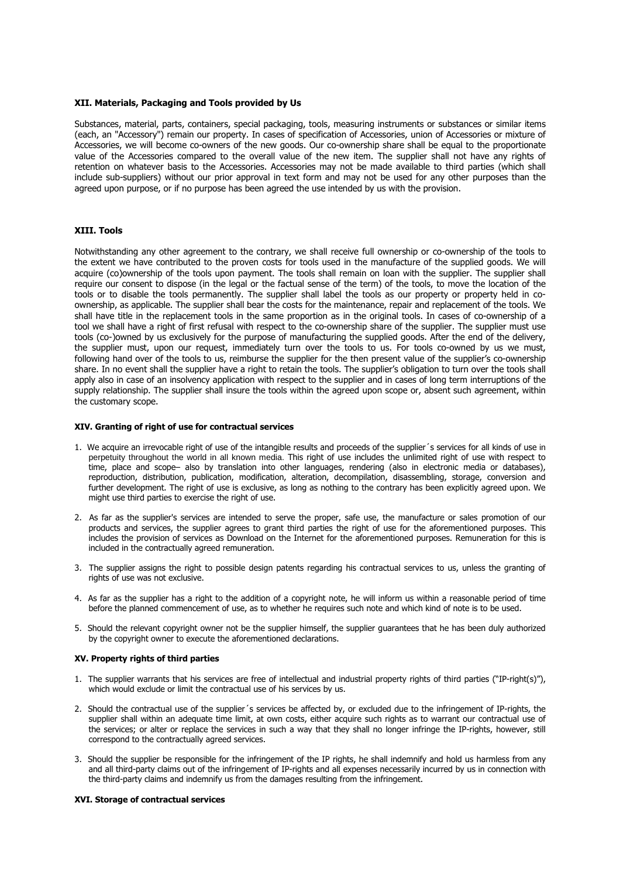#### **XII. Materials, Packaging and Tools provided by Us**

Substances, material, parts, containers, special packaging, tools, measuring instruments or substances or similar items (each, an "Accessory") remain our property. In cases of specification of Accessories, union of Accessories or mixture of Accessories, we will become co-owners of the new goods. Our co-ownership share shall be equal to the proportionate value of the Accessories compared to the overall value of the new item. The supplier shall not have any rights of retention on whatever basis to the Accessories. Accessories may not be made available to third parties (which shall include sub-suppliers) without our prior approval in text form and may not be used for any other purposes than the agreed upon purpose, or if no purpose has been agreed the use intended by us with the provision.

#### **XIII. Tools**

Notwithstanding any other agreement to the contrary, we shall receive full ownership or co-ownership of the tools to the extent we have contributed to the proven costs for tools used in the manufacture of the supplied goods. We will acquire (co)ownership of the tools upon payment. The tools shall remain on loan with the supplier. The supplier shall require our consent to dispose (in the legal or the factual sense of the term) of the tools, to move the location of the tools or to disable the tools permanently. The supplier shall label the tools as our property or property held in coownership, as applicable. The supplier shall bear the costs for the maintenance, repair and replacement of the tools. We shall have title in the replacement tools in the same proportion as in the original tools. In cases of co-ownership of a tool we shall have a right of first refusal with respect to the co-ownership share of the supplier. The supplier must use tools (co-)owned by us exclusively for the purpose of manufacturing the supplied goods. After the end of the delivery, the supplier must, upon our request, immediately turn over the tools to us. For tools co-owned by us we must, following hand over of the tools to us, reimburse the supplier for the then present value of the supplier's co-ownership share. In no event shall the supplier have a right to retain the tools. The supplier's obligation to turn over the tools shall apply also in case of an insolvency application with respect to the supplier and in cases of long term interruptions of the supply relationship. The supplier shall insure the tools within the agreed upon scope or, absent such agreement, within the customary scope.

#### **XIV. Granting of right of use for contractual services**

- 1. We acquire an irrevocable right of use of the intangible results and proceeds of the supplier´s services for all kinds of use in perpetuity throughout the world in all known media. This right of use includes the unlimited right of use with respect to time, place and scope- also by translation into other languages, rendering (also in electronic media or databases), reproduction, distribution, publication, modification, alteration, decompilation, disassembling, storage, conversion and further development. The right of use is exclusive, as long as nothing to the contrary has been explicitly agreed upon. We might use third parties to exercise the right of use.
- 2. As far as the supplier's services are intended to serve the proper, safe use, the manufacture or sales promotion of our products and services, the supplier agrees to grant third parties the right of use for the aforementioned purposes. This includes the provision of services as Download on the Internet for the aforementioned purposes. Remuneration for this is included in the contractually agreed remuneration.
- 3. The supplier assigns the right to possible design patents regarding his contractual services to us, unless the granting of rights of use was not exclusive.
- 4. As far as the supplier has a right to the addition of a copyright note, he will inform us within a reasonable period of time before the planned commencement of use, as to whether he requires such note and which kind of note is to be used.
- 5. Should the relevant copyright owner not be the supplier himself, the supplier guarantees that he has been duly authorized by the copyright owner to execute the aforementioned declarations.

#### **XV. Property rights of third parties**

- 1. The supplier warrants that his services are free of intellectual and industrial property rights of third parties ("IP-right(s)"), which would exclude or limit the contractual use of his services by us.
- 2. Should the contractual use of the supplier´s services be affected by, or excluded due to the infringement of IP-rights, the supplier shall within an adequate time limit, at own costs, either acquire such rights as to warrant our contractual use of the services; or alter or replace the services in such a way that they shall no longer infringe the IP-rights, however, still correspond to the contractually agreed services.
- 3. Should the supplier be responsible for the infringement of the IP rights, he shall indemnify and hold us harmless from any and all third-party claims out of the infringement of IP-rights and all expenses necessarily incurred by us in connection with the third-party claims and indemnify us from the damages resulting from the infringement.

#### **XVI. Storage of contractual services**